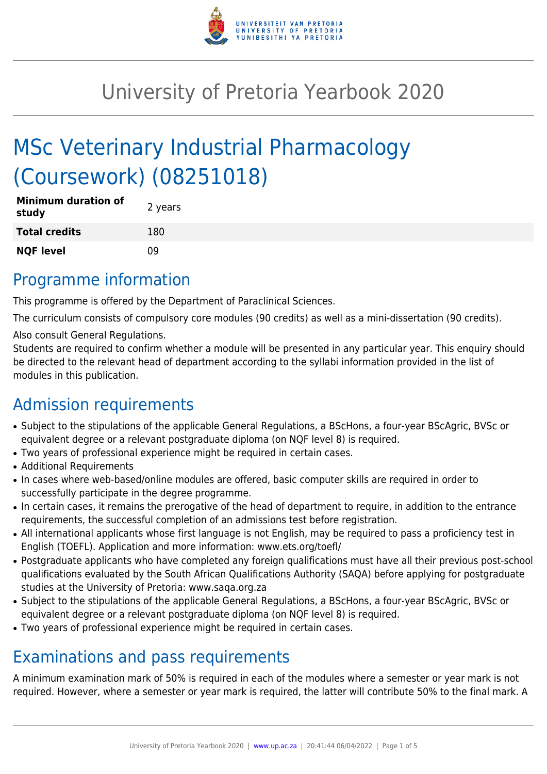

# University of Pretoria Yearbook 2020

# MSc Veterinary Industrial Pharmacology (Coursework) (08251018)

| <b>Minimum duration of</b><br>study | 2 years |
|-------------------------------------|---------|
| <b>Total credits</b>                | 180     |
| <b>NQF level</b>                    | 09      |

### Programme information

This programme is offered by the Department of Paraclinical Sciences.

The curriculum consists of compulsory core modules (90 credits) as well as a mini-dissertation (90 credits).

Also consult General Regulations.

Students are required to confirm whether a module will be presented in any particular year. This enquiry should be directed to the relevant head of department according to the syllabi information provided in the list of modules in this publication.

# Admission requirements

- Subject to the stipulations of the applicable General Regulations, a BScHons, a four-year BScAgric, BVSc or equivalent degree or a relevant postgraduate diploma (on NQF level 8) is required.
- Two years of professional experience might be required in certain cases.
- Additional Requirements
- In cases where web-based/online modules are offered, basic computer skills are required in order to successfully participate in the degree programme.
- In certain cases, it remains the prerogative of the head of department to require, in addition to the entrance requirements, the successful completion of an admissions test before registration.
- All international applicants whose first language is not English, may be required to pass a proficiency test in English (TOEFL). Application and more information: www.ets.org/toefl/
- Postgraduate applicants who have completed any foreign qualifications must have all their previous post-school qualifications evaluated by the South African Qualifications Authority (SAQA) before applying for postgraduate studies at the University of Pretoria: www.saqa.org.za
- Subject to the stipulations of the applicable General Regulations, a BScHons, a four-year BScAgric, BVSc or equivalent degree or a relevant postgraduate diploma (on NQF level 8) is required.
- Two years of professional experience might be required in certain cases.

## Examinations and pass requirements

A minimum examination mark of 50% is required in each of the modules where a semester or year mark is not required. However, where a semester or year mark is required, the latter will contribute 50% to the final mark. A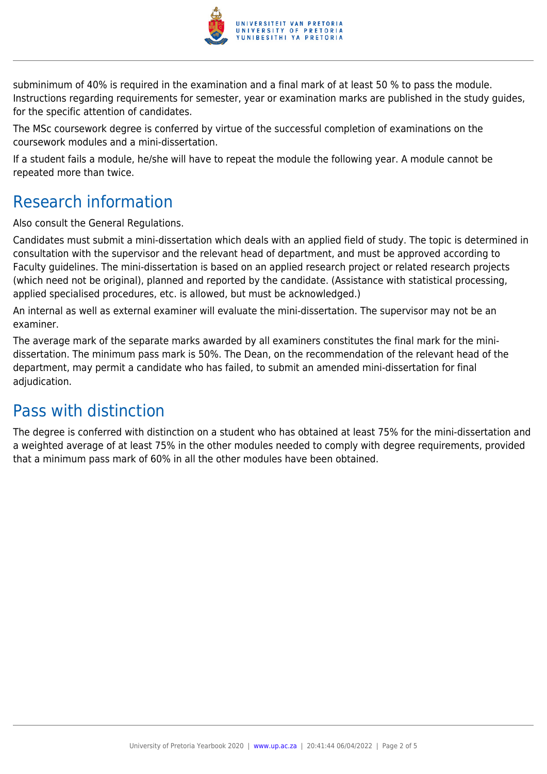

subminimum of 40% is required in the examination and a final mark of at least 50 % to pass the module. Instructions regarding requirements for semester, year or examination marks are published in the study guides, for the specific attention of candidates.

The MSc coursework degree is conferred by virtue of the successful completion of examinations on the coursework modules and a mini-dissertation.

If a student fails a module, he/she will have to repeat the module the following year. A module cannot be repeated more than twice.

## Research information

Also consult the General Regulations.

Candidates must submit a mini-dissertation which deals with an applied field of study. The topic is determined in consultation with the supervisor and the relevant head of department, and must be approved according to Faculty guidelines. The mini-dissertation is based on an applied research project or related research projects (which need not be original), planned and reported by the candidate. (Assistance with statistical processing, applied specialised procedures, etc. is allowed, but must be acknowledged.)

An internal as well as external examiner will evaluate the mini-dissertation. The supervisor may not be an examiner.

The average mark of the separate marks awarded by all examiners constitutes the final mark for the minidissertation. The minimum pass mark is 50%. The Dean, on the recommendation of the relevant head of the department, may permit a candidate who has failed, to submit an amended mini-dissertation for final adjudication.

# Pass with distinction

The degree is conferred with distinction on a student who has obtained at least 75% for the mini-dissertation and a weighted average of at least 75% in the other modules needed to comply with degree requirements, provided that a minimum pass mark of 60% in all the other modules have been obtained.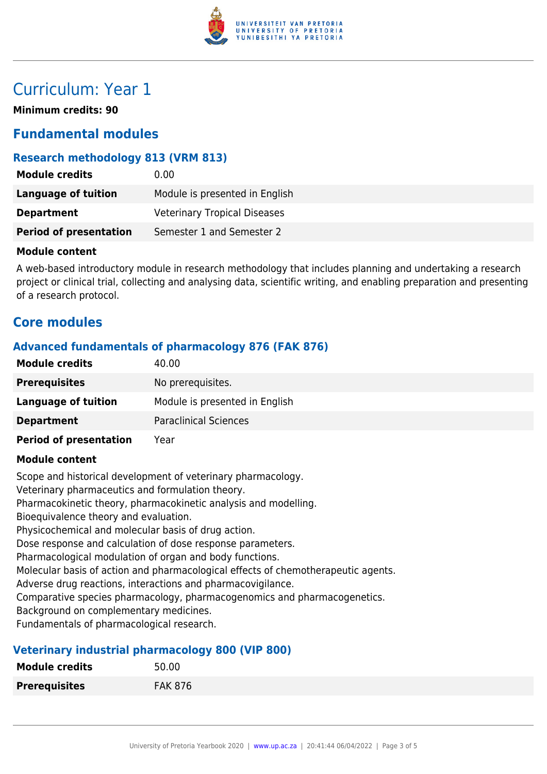

## Curriculum: Year 1

**Minimum credits: 90**

### **Fundamental modules**

#### **Research methodology 813 (VRM 813)**

| <b>Module credits</b>         | 0.00                                |
|-------------------------------|-------------------------------------|
| Language of tuition           | Module is presented in English      |
| <b>Department</b>             | <b>Veterinary Tropical Diseases</b> |
| <b>Period of presentation</b> | Semester 1 and Semester 2           |

#### **Module content**

A web-based introductory module in research methodology that includes planning and undertaking a research project or clinical trial, collecting and analysing data, scientific writing, and enabling preparation and presenting of a research protocol.

### **Core modules**

#### **Advanced fundamentals of pharmacology 876 (FAK 876)**

| <b>Module credits</b>         | 40.00                          |
|-------------------------------|--------------------------------|
| <b>Prerequisites</b>          | No prerequisites.              |
| Language of tuition           | Module is presented in English |
| <b>Department</b>             | <b>Paraclinical Sciences</b>   |
| <b>Period of presentation</b> | Year                           |

#### **Module content**

Scope and historical development of veterinary pharmacology.

Veterinary pharmaceutics and formulation theory.

Pharmacokinetic theory, pharmacokinetic analysis and modelling.

Bioequivalence theory and evaluation.

Physicochemical and molecular basis of drug action.

Dose response and calculation of dose response parameters.

Pharmacological modulation of organ and body functions.

Molecular basis of action and pharmacological effects of chemotherapeutic agents.

Adverse drug reactions, interactions and pharmacovigilance.

Comparative species pharmacology, pharmacogenomics and pharmacogenetics.

Background on complementary medicines.

Fundamentals of pharmacological research.

#### **Veterinary industrial pharmacology 800 (VIP 800)**

| <b>Module credits</b> | 50.00          |
|-----------------------|----------------|
| <b>Prerequisites</b>  | <b>FAK 876</b> |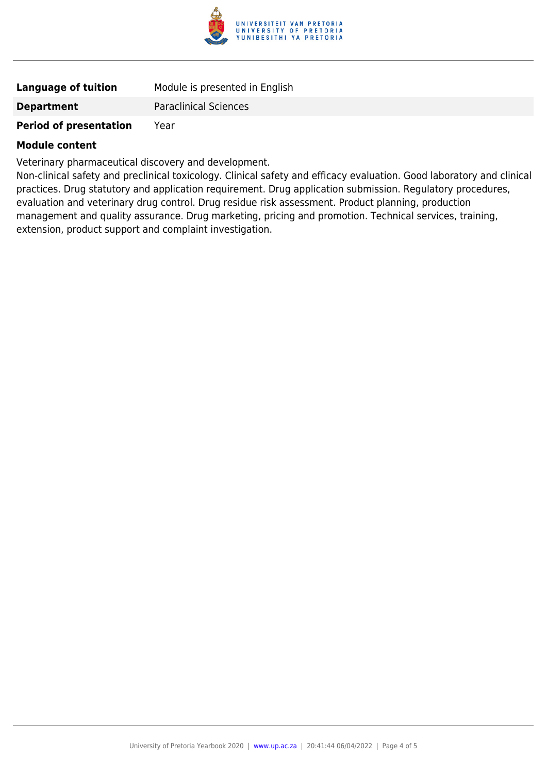

| <b>Language of tuition</b> | Module is presented in English |
|----------------------------|--------------------------------|
| <b>Department</b>          | <b>Paraclinical Sciences</b>   |

### **Period of presentation** Year

#### **Module content**

Veterinary pharmaceutical discovery and development.

Non-clinical safety and preclinical toxicology. Clinical safety and efficacy evaluation. Good laboratory and clinical practices. Drug statutory and application requirement. Drug application submission. Regulatory procedures, evaluation and veterinary drug control. Drug residue risk assessment. Product planning, production management and quality assurance. Drug marketing, pricing and promotion. Technical services, training, extension, product support and complaint investigation.